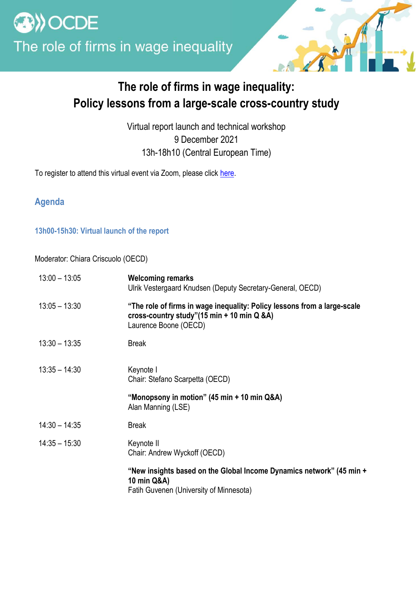

## **The role of firms in wage inequality: Policy lessons from a large-scale cross-country study**

Virtual report launch and technical workshop 9 December 2021 13h-18h10 (Central European Time)

To register to attend this virtual event via Zoom, please click [here.](https://meetoecd1.zoom.us/meeting/register/tJMpcuGgpjMuGtcYFHShtH--5db2fFnSncnR)

**Agenda**

**13h00-15h30: Virtual launch of the report**

Moderator: Chiara Criscuolo (OECD)

| $13:00 - 13:05$ | <b>Welcoming remarks</b><br>Ulrik Vestergaard Knudsen (Deputy Secretary-General, OECD)                                                          |
|-----------------|-------------------------------------------------------------------------------------------------------------------------------------------------|
| $13:05 - 13:30$ | "The role of firms in wage inequality: Policy lessons from a large-scale<br>cross-country study"(15 min + 10 min Q &A)<br>Laurence Boone (OECD) |
| $13:30 - 13:35$ | <b>Break</b>                                                                                                                                    |
| $13:35 - 14:30$ | Keynote I<br>Chair: Stefano Scarpetta (OECD)                                                                                                    |
|                 | "Monopsony in motion" (45 min + 10 min Q&A)<br>Alan Manning (LSE)                                                                               |
| $14:30 - 14:35$ | <b>Break</b>                                                                                                                                    |
| $14:35 - 15:30$ | Keynote II<br>Chair: Andrew Wyckoff (OECD)                                                                                                      |
|                 | "New insights based on the Global Income Dynamics network" (45 min +<br>10 min Q&A)<br>Fatih Guvenen (University of Minnesota)                  |